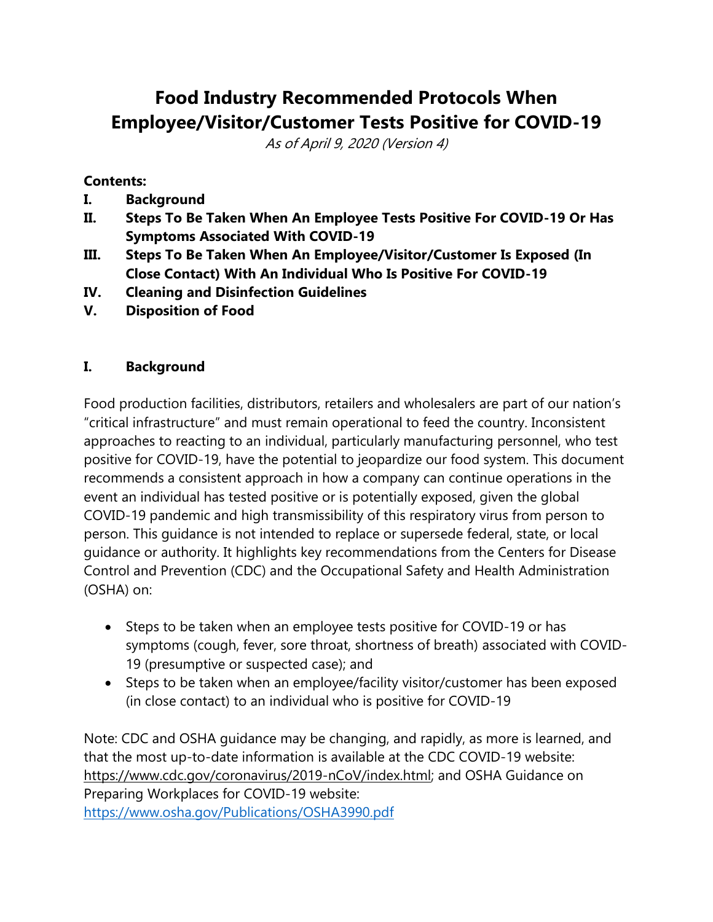# **Food Industry Recommended Protocols When Employee/Visitor/Customer Tests Positive for COVID-19**

As of April 9, 2020 (Version 4)

#### **Contents:**

- **I. Background**
- **II. Steps To Be Taken When An Employee Tests Positive For COVID-19 Or Has Symptoms Associated With COVID-19**
- **III. Steps To Be Taken When An Employee/Visitor/Customer Is Exposed (In Close Contact) With An Individual Who Is Positive For COVID-19**
- **IV. Cleaning and Disinfection Guidelines**
- **V. Disposition of Food**

### **I. Background**

Food production facilities, distributors, retailers and wholesalers are part of our nation's "critical infrastructure" and must remain operational to feed the country. Inconsistent approaches to reacting to an individual, particularly manufacturing personnel, who test positive for COVID-19, have the potential to jeopardize our food system. This document recommends a consistent approach in how a company can continue operations in the event an individual has tested positive or is potentially exposed, given the global COVID-19 pandemic and high transmissibility of this respiratory virus from person to person. This guidance is not intended to replace or supersede federal, state, or local guidance or authority. It highlights key recommendations from the Centers for Disease Control and Prevention (CDC) and the Occupational Safety and Health Administration (OSHA) on:

- Steps to be taken when an employee tests positive for COVID-19 or has symptoms (cough, fever, sore throat, shortness of breath) associated with COVID-19 (presumptive or suspected case); and
- Steps to be taken when an employee/facility visitor/customer has been exposed (in close contact) to an individual who is positive for COVID-19

Note: CDC and OSHA guidance may be changing, and rapidly, as more is learned, and that the most up-to-date information is available at the CDC COVID-19 website: [https://www.cdc.gov/coronavirus/2019-nCoV/index.html;](https://www.cdc.gov/coronavirus/2019-nCoV/index.html) and OSHA Guidance on Preparing Workplaces for COVID-19 website: <https://www.osha.gov/Publications/OSHA3990.pdf>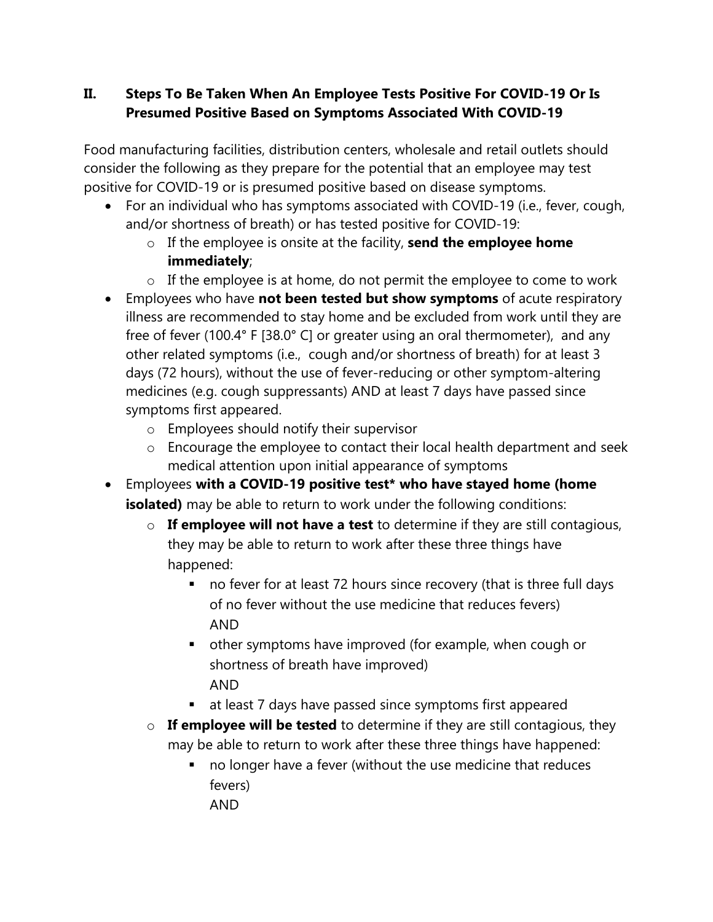## **II. Steps To Be Taken When An Employee Tests Positive For COVID-19 Or Is Presumed Positive Based on Symptoms Associated With COVID-19**

Food manufacturing facilities, distribution centers, wholesale and retail outlets should consider the following as they prepare for the potential that an employee may test positive for COVID-19 or is presumed positive based on disease symptoms.

- For an individual who has symptoms associated with COVID-19 (i.e., fever, cough, and/or shortness of breath) or has tested positive for COVID-19:
	- o If the employee is onsite at the facility, **send the employee home immediately**;
	- $\circ$  If the employee is at home, do not permit the employee to come to work
- Employees who have **not been tested but show symptoms** of acute respiratory illness are recommended to stay home and be excluded from work until they are free of fever (100.4° F [38.0° C] or greater using an oral thermometer), and any other related symptoms (i.e., cough and/or shortness of breath) for at least 3 days (72 hours), without the use of fever-reducing or other symptom-altering medicines (e.g. cough suppressants) AND at least 7 days have passed since symptoms first appeared.
	- o Employees should notify their supervisor
	- o Encourage the employee to contact their local health department and seek medical attention upon initial appearance of symptoms
- Employees **with a COVID-19 positive test\* who have stayed home (home isolated)** may be able to return to work under the following conditions:
	- o **If employee will not have a test** to determine if they are still contagious, they may be able to return to work after these three things have happened:
		- no fever for at least 72 hours since recovery (that is three full days of no fever without the use medicine that reduces fevers) AND
		- other symptoms have improved (for example, when cough or shortness of breath have improved) AND
		- at least 7 days have passed since symptoms first appeared
	- o **If employee will be tested** to determine if they are still contagious, they may be able to return to work after these three things have happened:
		- no longer have a fever (without the use medicine that reduces fevers) AND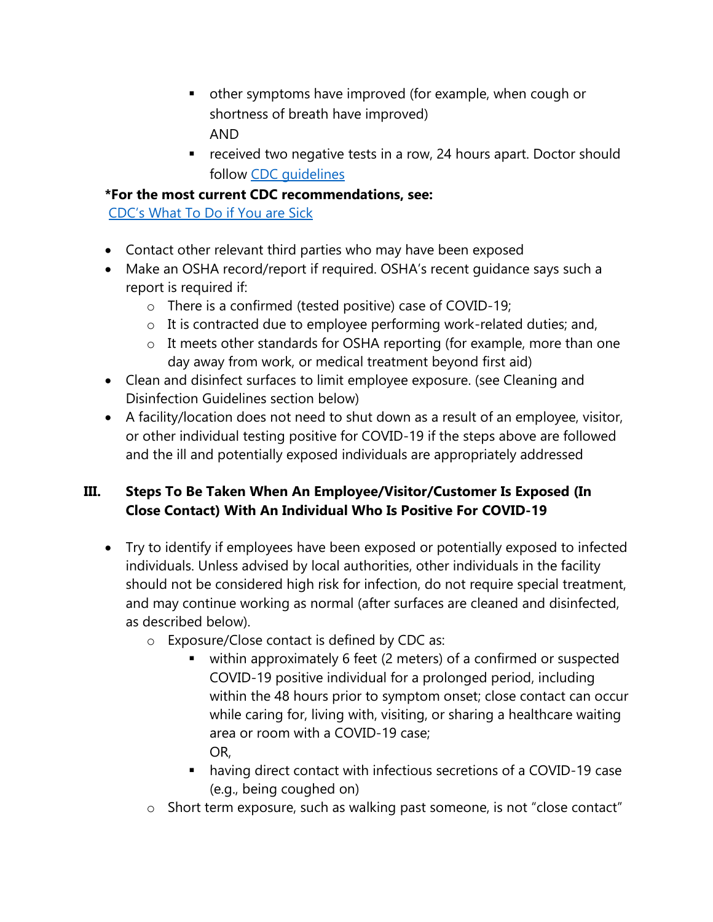- other symptoms have improved (for example, when cough or shortness of breath have improved) AND
- received two negative tests in a row, 24 hours apart. Doctor should follow [CDC guidelines](https://www.cdc.gov/coronavirus/2019-ncov/hcp/disposition-in-home-patients.html)

#### **\*For the most current CDC recommendations, see:**

[CDC's What To Do if You are Sick](https://www.cdc.gov/coronavirus/2019-ncov/if-you-are-sick/steps-when-sick.html)

- Contact other relevant third parties who may have been exposed
- Make an OSHA record/report if required. OSHA's recent guidance says such a report is required if:
	- o There is a confirmed (tested positive) case of COVID-19;
	- o It is contracted due to employee performing work-related duties; and,
	- o It meets other standards for OSHA reporting (for example, more than one day away from work, or medical treatment beyond first aid)
- Clean and disinfect surfaces to limit employee exposure. (see Cleaning and Disinfection Guidelines section below)
- A facility/location does not need to shut down as a result of an employee, visitor, or other individual testing positive for COVID-19 if the steps above are followed and the ill and potentially exposed individuals are appropriately addressed

## **III. Steps To Be Taken When An Employee/Visitor/Customer Is Exposed (In Close Contact) With An Individual Who Is Positive For COVID-19**

- Try to identify if employees have been exposed or potentially exposed to infected individuals. Unless advised by local authorities, other individuals in the facility should not be considered high risk for infection, do not require special treatment, and may continue working as normal (after surfaces are cleaned and disinfected, as described below).
	- o Exposure/Close contact is defined by CDC as:
		- within approximately 6 feet (2 meters) of a confirmed or suspected COVID-19 positive individual for a prolonged period, including within the 48 hours prior to symptom onset; close contact can occur while caring for, living with, visiting, or sharing a healthcare waiting area or room with a COVID-19 case; OR,
		- having direct contact with infectious secretions of a COVID-19 case (e.g., being coughed on)
	- o Short term exposure, such as walking past someone, is not "close contact"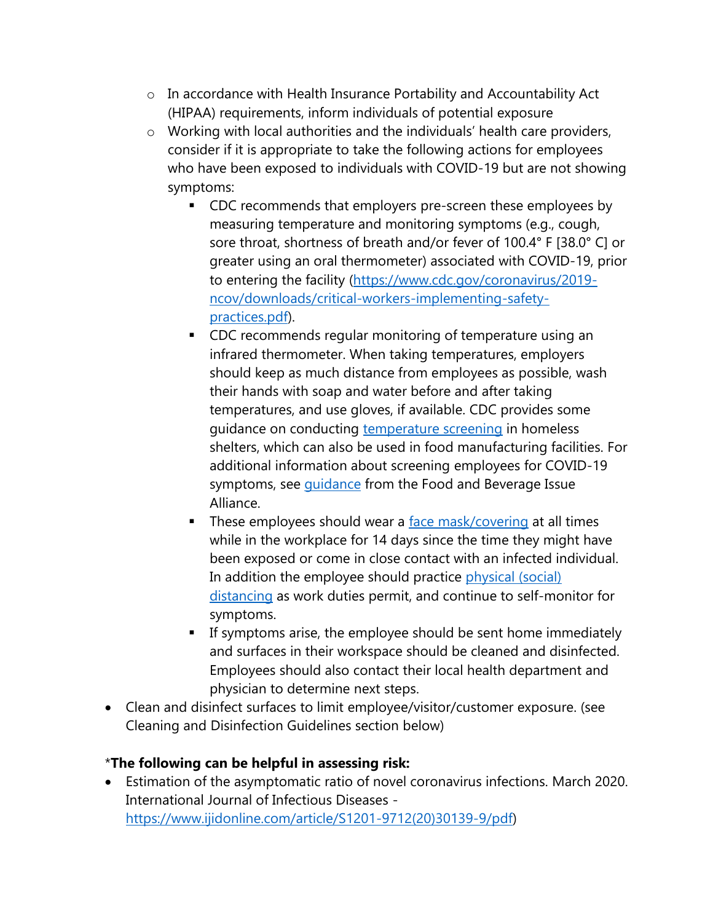- o In accordance with Health Insurance Portability and Accountability Act (HIPAA) requirements, inform individuals of potential exposure
- o Working with local authorities and the individuals' health care providers, consider if it is appropriate to take the following actions for employees who have been exposed to individuals with COVID-19 but are not showing symptoms:
	- CDC recommends that employers pre-screen these employees by measuring temperature and monitoring symptoms (e.g., cough, sore throat, shortness of breath and/or fever of 100.4° F [38.0° C] or greater using an oral thermometer) associated with COVID-19, prior to entering the facility [\(https://www.cdc.gov/coronavirus/2019](https://www.cdc.gov/coronavirus/2019-ncov/downloads/critical-workers-implementing-safety-practices.pdf) [ncov/downloads/critical-workers-implementing-safety](https://www.cdc.gov/coronavirus/2019-ncov/downloads/critical-workers-implementing-safety-practices.pdf)[practices.pdf\)](https://www.cdc.gov/coronavirus/2019-ncov/downloads/critical-workers-implementing-safety-practices.pdf).
	- CDC recommends regular monitoring of temperature using an infrared thermometer. When taking temperatures, employers should keep as much distance from employees as possible, wash their hands with soap and water before and after taking temperatures, and use gloves, if available. CDC provides some guidance on conducting [temperature screening](https://www.cdc.gov/coronavirus/2019-ncov/community/homeless-shelters/screening-clients-respiratory-infection-symptoms.html) in homeless shelters, which can also be used in food manufacturing facilities. For additional information about screening employees for COVID-19 symptoms, see *[guidance](https://static1.squarespace.com/static/5e7d1107dac60a6b3e3f098d/t/5e87363778809401b00ff99f/1585919544175/Employee+Screening+-+20200330_draft+final+%28002%29_SIGNED.pdf)* from the Food and Beverage Issue Alliance.
	- **EXTERG** These employees should wear a [face mask/covering](https://static1.squarespace.com/static/5e7d1107dac60a6b3e3f098d/t/5e8b7df8de0d171c25e37568/1586200057047/Proper+Usage+of+Face+Masks_6Apr2020_Version+2_SIGNED.pdf) at all times while in the workplace for 14 days since the time they might have been exposed or come in close contact with an infected individual. In addition the employee should practice [physical \(social\)](https://static1.squarespace.com/static/5e7d1107dac60a6b3e3f098d/t/5e873d0512a7e1791b02422b/1585921286374/2020-03-31+Emergency+Prevention+Measures+to+Achieve+Physical+%28Social%29+Distancing+in+Food+Manufacturing+Facilities+as+Related+to+COVID-19_SIGNED.pdf) [distancing](https://static1.squarespace.com/static/5e7d1107dac60a6b3e3f098d/t/5e873d0512a7e1791b02422b/1585921286374/2020-03-31+Emergency+Prevention+Measures+to+Achieve+Physical+%28Social%29+Distancing+in+Food+Manufacturing+Facilities+as+Related+to+COVID-19_SIGNED.pdf) as work duties permit, and continue to self-monitor for symptoms.
	- **EXPLOM** If symptoms arise, the employee should be sent home immediately and surfaces in their workspace should be cleaned and disinfected. Employees should also contact their local health department and physician to determine next steps.
- Clean and disinfect surfaces to limit employee/visitor/customer exposure. (see Cleaning and Disinfection Guidelines section below)

## \***The following can be helpful in assessing risk:**

• Estimation of the asymptomatic ratio of novel coronavirus infections. March 2020. International Journal of Infectious Diseases [https://www.ijidonline.com/article/S1201-9712\(20\)30139-9/pdf\)](https://www.ijidonline.com/article/S1201-9712(20)30139-9/pdf)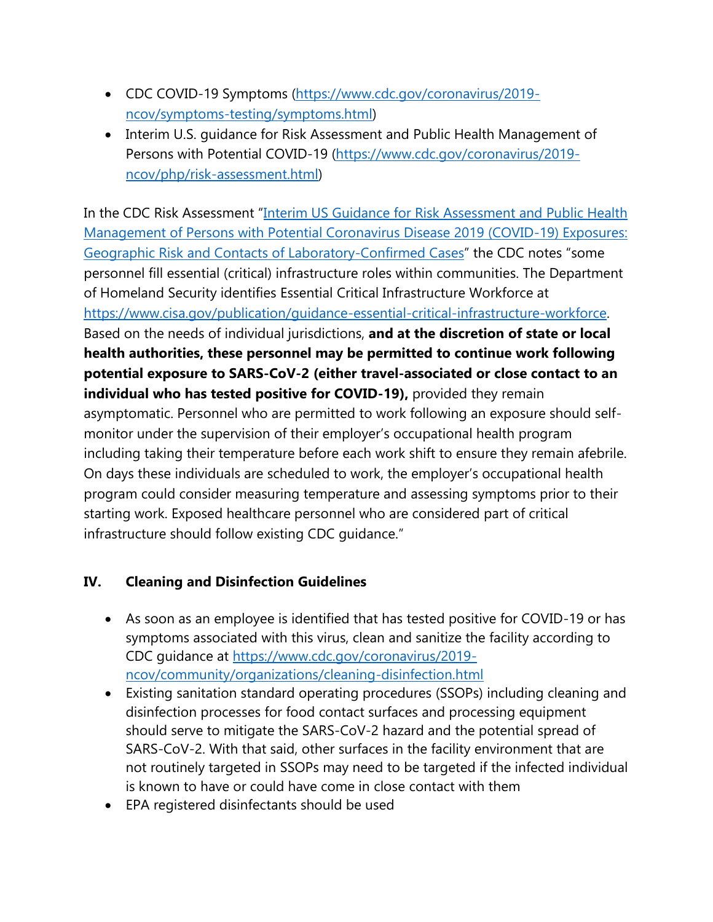- CDC COVID-19 Symptoms [\(https://www.cdc.gov/coronavirus/2019](https://www.cdc.gov/coronavirus/2019-ncov/symptoms-testing/symptoms.html) [ncov/symptoms-testing/symptoms.html\)](https://www.cdc.gov/coronavirus/2019-ncov/symptoms-testing/symptoms.html)
- Interim U.S. guidance for Risk Assessment and Public Health Management of Persons with Potential COVID-19 [\(https://www.cdc.gov/coronavirus/2019](https://www.cdc.gov/coronavirus/2019-ncov/php/risk-assessment.html) [ncov/php/risk-assessment.html\)](https://www.cdc.gov/coronavirus/2019-ncov/php/risk-assessment.html)

In the CDC Risk Assessment "[Interim US Guidance for Risk Assessment and Public Health](https://www.cdc.gov/coronavirus/2019-ncov/php/risk-assessment.html)  [Management of Persons with Potential Coronavirus Disease 2019 \(COVID-19\) Exposures:](https://www.cdc.gov/coronavirus/2019-ncov/php/risk-assessment.html)  [Geographic Risk and Contacts of Laboratory-Confirmed Cases](https://www.cdc.gov/coronavirus/2019-ncov/php/risk-assessment.html)" the CDC notes "some personnel fill essential (critical) infrastructure roles within communities. The Department of Homeland Security identifies Essential Critical Infrastructure Workforce at [https://www.cisa.gov/publication/guidance-essential-critical-infrastructure-workforce.](https://www.cisa.gov/publication/guidance-essential-critical-infrastructure-workforce) Based on the needs of individual jurisdictions, **and at the discretion of state or local health authorities, these personnel may be permitted to continue work following potential exposure to SARS-CoV-2 (either travel-associated or close contact to an individual who has tested positive for COVID-19),** provided they remain asymptomatic. Personnel who are permitted to work following an exposure should selfmonitor under the supervision of their employer's occupational health program including taking their temperature before each work shift to ensure they remain afebrile. On days these individuals are scheduled to work, the employer's occupational health program could consider measuring temperature and assessing symptoms prior to their starting work. Exposed healthcare personnel who are considered part of critical infrastructure should follow existing CDC guidance."

## **IV. Cleaning and Disinfection Guidelines**

- As soon as an employee is identified that has tested positive for COVID-19 or has symptoms associated with this virus, clean and sanitize the facility according to CDC guidance at [https://www.cdc.gov/coronavirus/2019](https://www.cdc.gov/coronavirus/2019-ncov/community/organizations/cleaning-disinfection.html) [ncov/community/organizations/cleaning-disinfection.html](https://www.cdc.gov/coronavirus/2019-ncov/community/organizations/cleaning-disinfection.html)
- Existing sanitation standard operating procedures (SSOPs) including cleaning and disinfection processes for food contact surfaces and processing equipment should serve to mitigate the SARS-CoV-2 hazard and the potential spread of SARS-CoV-2. With that said, other surfaces in the facility environment that are not routinely targeted in SSOPs may need to be targeted if the infected individual is known to have or could have come in close contact with them
- EPA registered disinfectants should be used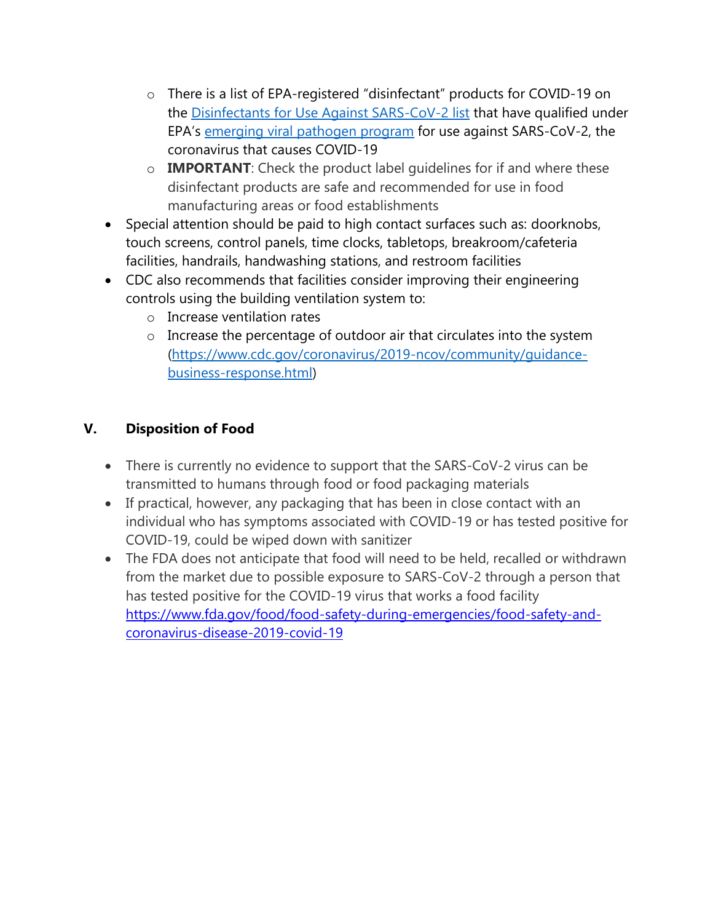- o There is a list of EPA-registered "disinfectant" products for COVID-19 on the [Disinfectants for Use Against SARS-CoV-2 list](https://www.epa.gov/sites/production/files/2020-03/documents/sars-cov-2-list_03-03-2020.pdf) that have qualified under EPA's [emerging viral pathogen program](https://www.epa.gov/pesticide-registration/guidance-registrants-process-making-claims-against-emerging-viral-pathogens) for use against SARS-CoV-2, the coronavirus that causes COVID-19
- o **IMPORTANT**: Check the product label guidelines for if and where these disinfectant products are safe and recommended for use in food manufacturing areas or food establishments
- Special attention should be paid to high contact surfaces such as: doorknobs, touch screens, control panels, time clocks, tabletops, breakroom/cafeteria facilities, handrails, handwashing stations, and restroom facilities
- CDC also recommends that facilities consider improving their engineering controls using the building ventilation system to:
	- o Increase ventilation rates
	- o Increase the percentage of outdoor air that circulates into the system [\(https://www.cdc.gov/coronavirus/2019-ncov/community/guidance](https://www.cdc.gov/coronavirus/2019-ncov/community/guidance-business-response.html)[business-response.html\)](https://www.cdc.gov/coronavirus/2019-ncov/community/guidance-business-response.html)

# **V. Disposition of Food**

- There is currently no evidence to support that the SARS-CoV-2 virus can be transmitted to humans through food or food packaging materials
- If practical, however, any packaging that has been in close contact with an individual who has symptoms associated with COVID-19 or has tested positive for COVID-19, could be wiped down with sanitizer
- The FDA does not anticipate that food will need to be held, recalled or withdrawn from the market due to possible exposure to SARS-CoV-2 through a person that has tested positive for the COVID-19 virus that works a food facility [https://www.fda.gov/food/food-safety-during-emergencies/food-safety-and](https://www.fda.gov/food/food-safety-during-emergencies/food-safety-and-coronavirus-disease-2019-covid-19)[coronavirus-disease-2019-covid-19](https://www.fda.gov/food/food-safety-during-emergencies/food-safety-and-coronavirus-disease-2019-covid-19)